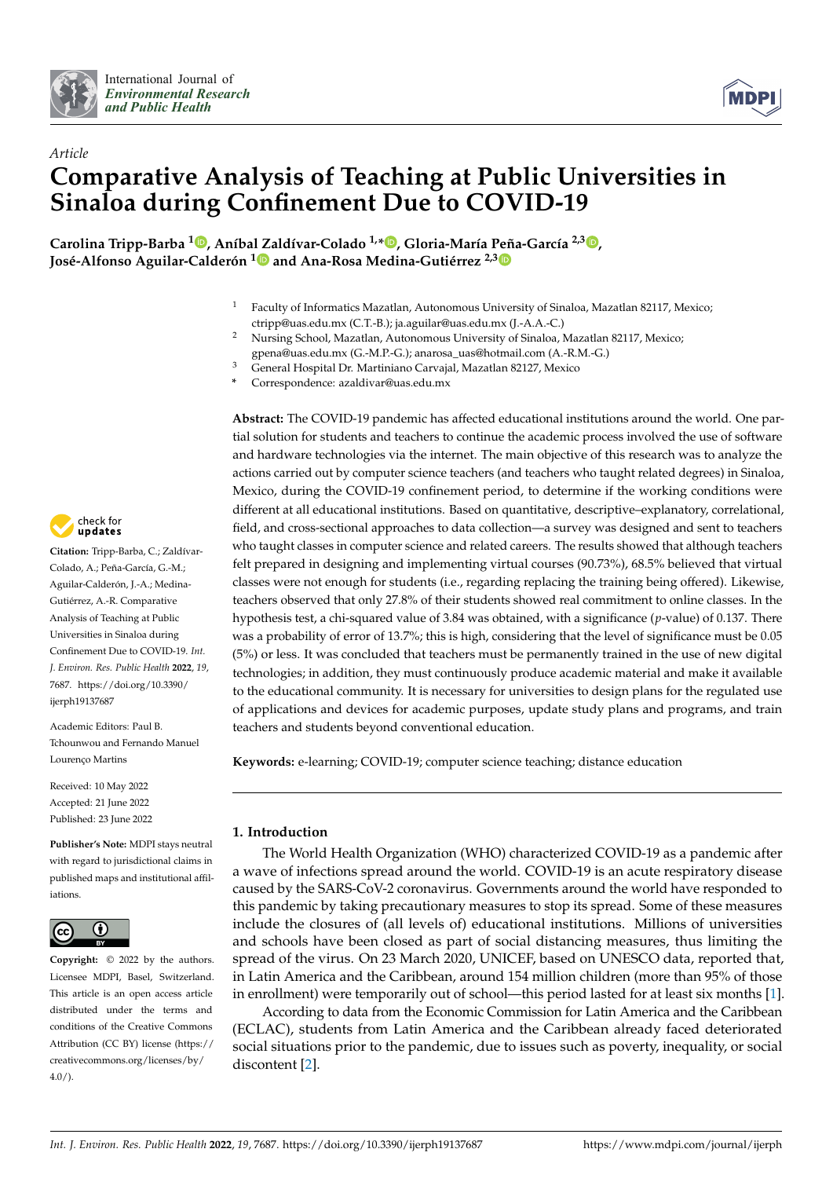



# *Article* **Comparative Analysis of Teaching at Public Universities in Sinaloa during Confinement Due to COVID-19**

**Carolina Tripp-Barba <sup>1</sup> [,](https://orcid.org/0000-0002-4811-0247) Aníba[l Za](https://orcid.org/0000-0003-2048-9600)ldívar-Colado 1,\* [,](https://orcid.org/0000-0002-6622-6630) Gloria-María Peña-García 2,3 [,](https://orcid.org/0000-0001-9935-608X) José-Alfonso Aguilar-Calderón <sup>1</sup> and Ana-Rosa Medina-Gutiérrez 2,[3](https://orcid.org/0000-0002-8429-9470)**

- <sup>1</sup> Faculty of Informatics Mazatlan, Autonomous University of Sinaloa, Mazatlan 82117, Mexico; ctripp@uas.edu.mx (C.T.-B.); ja.aguilar@uas.edu.mx (J.-A.A.-C.)
- <sup>2</sup> Nursing School, Mazatlan, Autonomous University of Sinaloa, Mazatlan 82117, Mexico;
- gpena@uas.edu.mx (G.-M.P.-G.); anarosa\_uas@hotmail.com (A.-R.M.-G.)
- <sup>3</sup> General Hospital Dr. Martiniano Carvajal, Mazatlan 82127, Mexico
- **\*** Correspondence: azaldivar@uas.edu.mx

check for updates

**Citation:** Tripp-Barba, C.; Zaldívar-Colado, A.; Peña-García, G.-M.; Aguilar-Calderón, J.-A.; Medina-Gutiérrez, A.-R. Comparative Analysis of Teaching at Public Universities in Sinaloa during Confinement Due to COVID-19. *Int. J. Environ. Res. Public Health* **2022**, *19*, 7687. [https://doi.org/10.3390/](https://doi.org/10.3390/ijerph19137687) [ijerph19137687](https://doi.org/10.3390/ijerph19137687)

Academic Editors: Paul B. Tchounwou and Fernando Manuel Lourenço Martins

Received: 10 May 2022 Accepted: 21 June 2022 Published: 23 June 2022

**Publisher's Note:** MDPI stays neutral with regard to jurisdictional claims in published maps and institutional affiliations.



**Copyright:** © 2022 by the authors. Licensee MDPI, Basel, Switzerland. This article is an open access article distributed under the terms and conditions of the Creative Commons Attribution (CC BY) license [\(https://](https://creativecommons.org/licenses/by/4.0/) [creativecommons.org/licenses/by/](https://creativecommons.org/licenses/by/4.0/)  $4.0/$ ).

**Abstract:** The COVID-19 pandemic has affected educational institutions around the world. One partial solution for students and teachers to continue the academic process involved the use of software and hardware technologies via the internet. The main objective of this research was to analyze the actions carried out by computer science teachers (and teachers who taught related degrees) in Sinaloa, Mexico, during the COVID-19 confinement period, to determine if the working conditions were different at all educational institutions. Based on quantitative, descriptive–explanatory, correlational, field, and cross-sectional approaches to data collection—a survey was designed and sent to teachers who taught classes in computer science and related careers. The results showed that although teachers felt prepared in designing and implementing virtual courses (90.73%), 68.5% believed that virtual classes were not enough for students (i.e., regarding replacing the training being offered). Likewise, teachers observed that only 27.8% of their students showed real commitment to online classes. In the hypothesis test, a chi-squared value of 3.84 was obtained, with a significance (*p*-value) of 0.137. There was a probability of error of 13.7%; this is high, considering that the level of significance must be 0.05 (5%) or less. It was concluded that teachers must be permanently trained in the use of new digital technologies; in addition, they must continuously produce academic material and make it available to the educational community. It is necessary for universities to design plans for the regulated use of applications and devices for academic purposes, update study plans and programs, and train teachers and students beyond conventional education.

**Keywords:** e-learning; COVID-19; computer science teaching; distance education

# **1. Introduction**

The World Health Organization (WHO) characterized COVID-19 as a pandemic after a wave of infections spread around the world. COVID-19 is an acute respiratory disease caused by the SARS-CoV-2 coronavirus. Governments around the world have responded to this pandemic by taking precautionary measures to stop its spread. Some of these measures include the closures of (all levels of) educational institutions. Millions of universities and schools have been closed as part of social distancing measures, thus limiting the spread of the virus. On 23 March 2020, UNICEF, based on UNESCO data, reported that, in Latin America and the Caribbean, around 154 million children (more than 95% of those in enrollment) were temporarily out of school—this period lasted for at least six months [\[1\]](#page-13-0).

According to data from the Economic Commission for Latin America and the Caribbean (ECLAC), students from Latin America and the Caribbean already faced deteriorated social situations prior to the pandemic, due to issues such as poverty, inequality, or social discontent [\[2\]](#page-13-1).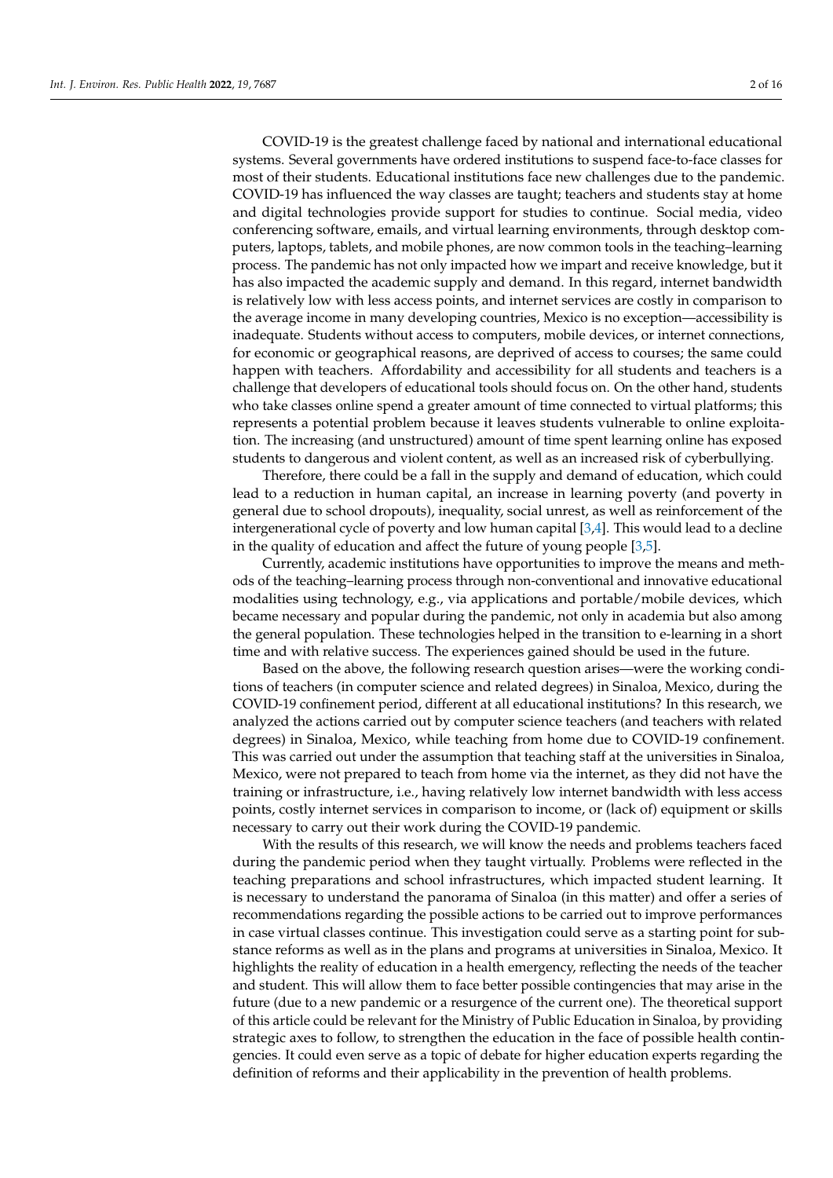COVID-19 is the greatest challenge faced by national and international educational systems. Several governments have ordered institutions to suspend face-to-face classes for most of their students. Educational institutions face new challenges due to the pandemic. COVID-19 has influenced the way classes are taught; teachers and students stay at home and digital technologies provide support for studies to continue. Social media, video conferencing software, emails, and virtual learning environments, through desktop computers, laptops, tablets, and mobile phones, are now common tools in the teaching–learning process. The pandemic has not only impacted how we impart and receive knowledge, but it has also impacted the academic supply and demand. In this regard, internet bandwidth is relatively low with less access points, and internet services are costly in comparison to the average income in many developing countries, Mexico is no exception—accessibility is inadequate. Students without access to computers, mobile devices, or internet connections, for economic or geographical reasons, are deprived of access to courses; the same could happen with teachers. Affordability and accessibility for all students and teachers is a challenge that developers of educational tools should focus on. On the other hand, students who take classes online spend a greater amount of time connected to virtual platforms; this represents a potential problem because it leaves students vulnerable to online exploitation. The increasing (and unstructured) amount of time spent learning online has exposed students to dangerous and violent content, as well as an increased risk of cyberbullying.

Therefore, there could be a fall in the supply and demand of education, which could lead to a reduction in human capital, an increase in learning poverty (and poverty in general due to school dropouts), inequality, social unrest, as well as reinforcement of the intergenerational cycle of poverty and low human capital [\[3,](#page-14-0)[4\]](#page-14-1). This would lead to a decline in the quality of education and affect the future of young people [\[3](#page-14-0)[,5\]](#page-14-2).

Currently, academic institutions have opportunities to improve the means and methods of the teaching–learning process through non-conventional and innovative educational modalities using technology, e.g., via applications and portable/mobile devices, which became necessary and popular during the pandemic, not only in academia but also among the general population. These technologies helped in the transition to e-learning in a short time and with relative success. The experiences gained should be used in the future.

Based on the above, the following research question arises—were the working conditions of teachers (in computer science and related degrees) in Sinaloa, Mexico, during the COVID-19 confinement period, different at all educational institutions? In this research, we analyzed the actions carried out by computer science teachers (and teachers with related degrees) in Sinaloa, Mexico, while teaching from home due to COVID-19 confinement. This was carried out under the assumption that teaching staff at the universities in Sinaloa, Mexico, were not prepared to teach from home via the internet, as they did not have the training or infrastructure, i.e., having relatively low internet bandwidth with less access points, costly internet services in comparison to income, or (lack of) equipment or skills necessary to carry out their work during the COVID-19 pandemic.

With the results of this research, we will know the needs and problems teachers faced during the pandemic period when they taught virtually. Problems were reflected in the teaching preparations and school infrastructures, which impacted student learning. It is necessary to understand the panorama of Sinaloa (in this matter) and offer a series of recommendations regarding the possible actions to be carried out to improve performances in case virtual classes continue. This investigation could serve as a starting point for substance reforms as well as in the plans and programs at universities in Sinaloa, Mexico. It highlights the reality of education in a health emergency, reflecting the needs of the teacher and student. This will allow them to face better possible contingencies that may arise in the future (due to a new pandemic or a resurgence of the current one). The theoretical support of this article could be relevant for the Ministry of Public Education in Sinaloa, by providing strategic axes to follow, to strengthen the education in the face of possible health contingencies. It could even serve as a topic of debate for higher education experts regarding the definition of reforms and their applicability in the prevention of health problems.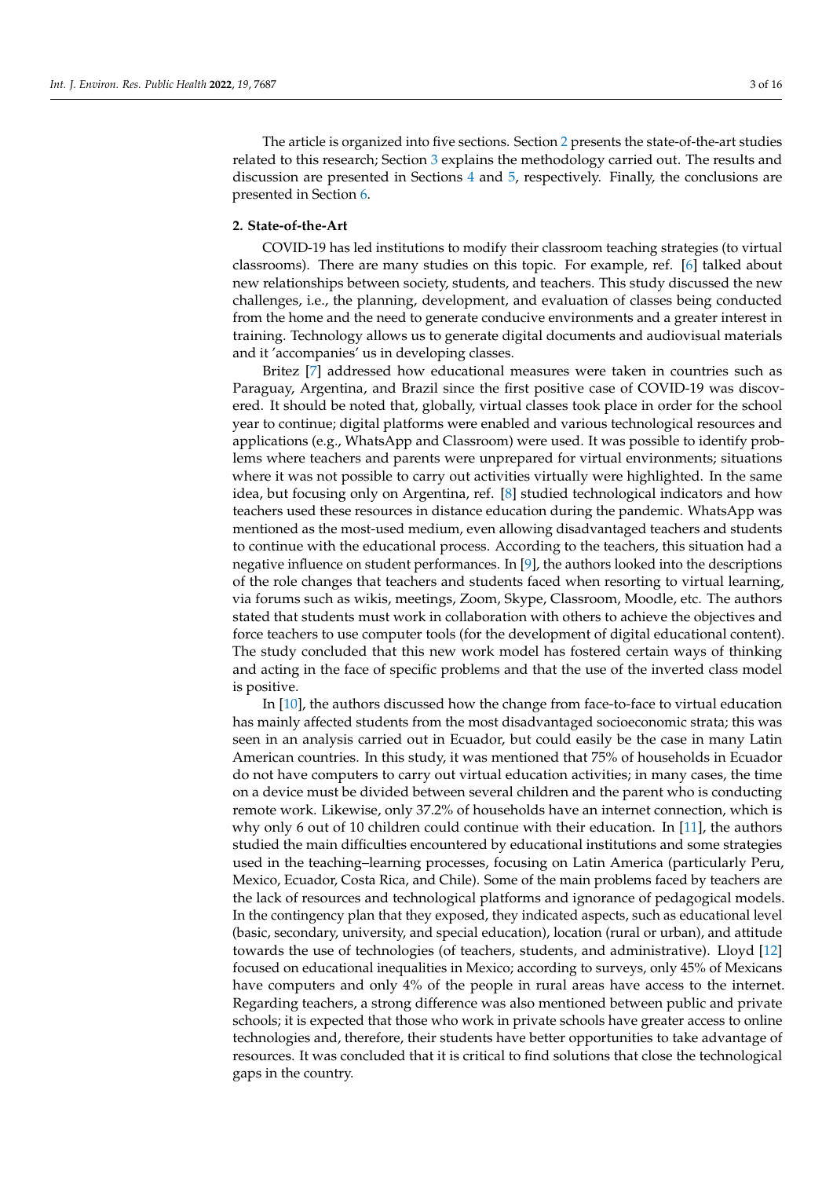The article is organized into five sections. Section [2](#page-2-0) presents the state-of-the-art studies related to this research; Section [3](#page-4-0) explains the methodology carried out. The results and discussion are presented in Sections [4](#page-5-0) and [5,](#page-11-0) respectively. Finally, the conclusions are presented in Section [6.](#page-12-0)

## <span id="page-2-0"></span>**2. State-of-the-Art**

COVID-19 has led institutions to modify their classroom teaching strategies (to virtual classrooms). There are many studies on this topic. For example, ref. [\[6\]](#page-14-3) talked about new relationships between society, students, and teachers. This study discussed the new challenges, i.e., the planning, development, and evaluation of classes being conducted from the home and the need to generate conducive environments and a greater interest in training. Technology allows us to generate digital documents and audiovisual materials and it 'accompanies' us in developing classes.

Britez [\[7\]](#page-14-4) addressed how educational measures were taken in countries such as Paraguay, Argentina, and Brazil since the first positive case of COVID-19 was discovered. It should be noted that, globally, virtual classes took place in order for the school year to continue; digital platforms were enabled and various technological resources and applications (e.g., WhatsApp and Classroom) were used. It was possible to identify problems where teachers and parents were unprepared for virtual environments; situations where it was not possible to carry out activities virtually were highlighted. In the same idea, but focusing only on Argentina, ref. [\[8\]](#page-14-5) studied technological indicators and how teachers used these resources in distance education during the pandemic. WhatsApp was mentioned as the most-used medium, even allowing disadvantaged teachers and students to continue with the educational process. According to the teachers, this situation had a negative influence on student performances. In [\[9\]](#page-14-6), the authors looked into the descriptions of the role changes that teachers and students faced when resorting to virtual learning, via forums such as wikis, meetings, Zoom, Skype, Classroom, Moodle, etc. The authors stated that students must work in collaboration with others to achieve the objectives and force teachers to use computer tools (for the development of digital educational content). The study concluded that this new work model has fostered certain ways of thinking and acting in the face of specific problems and that the use of the inverted class model is positive.

In [\[10\]](#page-14-7), the authors discussed how the change from face-to-face to virtual education has mainly affected students from the most disadvantaged socioeconomic strata; this was seen in an analysis carried out in Ecuador, but could easily be the case in many Latin American countries. In this study, it was mentioned that 75% of households in Ecuador do not have computers to carry out virtual education activities; in many cases, the time on a device must be divided between several children and the parent who is conducting remote work. Likewise, only 37.2% of households have an internet connection, which is why only 6 out of 10 children could continue with their education. In [\[11\]](#page-14-8), the authors studied the main difficulties encountered by educational institutions and some strategies used in the teaching–learning processes, focusing on Latin America (particularly Peru, Mexico, Ecuador, Costa Rica, and Chile). Some of the main problems faced by teachers are the lack of resources and technological platforms and ignorance of pedagogical models. In the contingency plan that they exposed, they indicated aspects, such as educational level (basic, secondary, university, and special education), location (rural or urban), and attitude towards the use of technologies (of teachers, students, and administrative). Lloyd [\[12\]](#page-14-9) focused on educational inequalities in Mexico; according to surveys, only 45% of Mexicans have computers and only 4% of the people in rural areas have access to the internet. Regarding teachers, a strong difference was also mentioned between public and private schools; it is expected that those who work in private schools have greater access to online technologies and, therefore, their students have better opportunities to take advantage of resources. It was concluded that it is critical to find solutions that close the technological gaps in the country.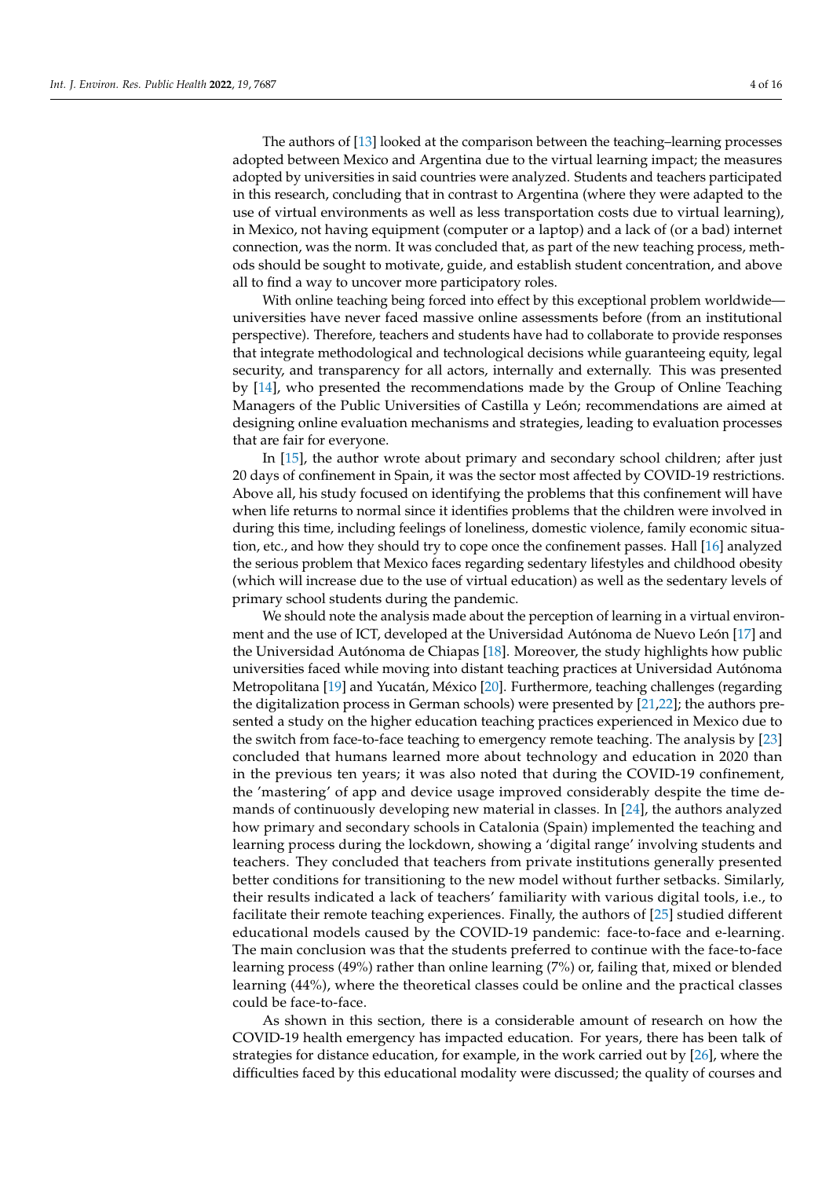The authors of [\[13\]](#page-14-10) looked at the comparison between the teaching–learning processes adopted between Mexico and Argentina due to the virtual learning impact; the measures adopted by universities in said countries were analyzed. Students and teachers participated in this research, concluding that in contrast to Argentina (where they were adapted to the use of virtual environments as well as less transportation costs due to virtual learning), in Mexico, not having equipment (computer or a laptop) and a lack of (or a bad) internet connection, was the norm. It was concluded that, as part of the new teaching process, methods should be sought to motivate, guide, and establish student concentration, and above all to find a way to uncover more participatory roles.

With online teaching being forced into effect by this exceptional problem worldwide universities have never faced massive online assessments before (from an institutional perspective). Therefore, teachers and students have had to collaborate to provide responses that integrate methodological and technological decisions while guaranteeing equity, legal security, and transparency for all actors, internally and externally. This was presented by [\[14\]](#page-14-11), who presented the recommendations made by the Group of Online Teaching Managers of the Public Universities of Castilla y León; recommendations are aimed at designing online evaluation mechanisms and strategies, leading to evaluation processes that are fair for everyone.

In [\[15\]](#page-14-12), the author wrote about primary and secondary school children; after just 20 days of confinement in Spain, it was the sector most affected by COVID-19 restrictions. Above all, his study focused on identifying the problems that this confinement will have when life returns to normal since it identifies problems that the children were involved in during this time, including feelings of loneliness, domestic violence, family economic situation, etc., and how they should try to cope once the confinement passes. Hall [\[16\]](#page-14-13) analyzed the serious problem that Mexico faces regarding sedentary lifestyles and childhood obesity (which will increase due to the use of virtual education) as well as the sedentary levels of primary school students during the pandemic.

We should note the analysis made about the perception of learning in a virtual environment and the use of ICT, developed at the Universidad Autónoma de Nuevo León [\[17\]](#page-14-14) and the Universidad Autónoma de Chiapas [\[18\]](#page-14-15). Moreover, the study highlights how public universities faced while moving into distant teaching practices at Universidad Autónoma Metropolitana [\[19\]](#page-14-16) and Yucatán, México [\[20\]](#page-14-17). Furthermore, teaching challenges (regarding the digitalization process in German schools) were presented by [\[21,](#page-14-18)[22\]](#page-14-19); the authors presented a study on the higher education teaching practices experienced in Mexico due to the switch from face-to-face teaching to emergency remote teaching. The analysis by [\[23\]](#page-14-20) concluded that humans learned more about technology and education in 2020 than in the previous ten years; it was also noted that during the COVID-19 confinement, the 'mastering' of app and device usage improved considerably despite the time demands of continuously developing new material in classes. In [\[24\]](#page-14-21), the authors analyzed how primary and secondary schools in Catalonia (Spain) implemented the teaching and learning process during the lockdown, showing a 'digital range' involving students and teachers. They concluded that teachers from private institutions generally presented better conditions for transitioning to the new model without further setbacks. Similarly, their results indicated a lack of teachers' familiarity with various digital tools, i.e., to facilitate their remote teaching experiences. Finally, the authors of [\[25\]](#page-14-22) studied different educational models caused by the COVID-19 pandemic: face-to-face and e-learning. The main conclusion was that the students preferred to continue with the face-to-face learning process (49%) rather than online learning (7%) or, failing that, mixed or blended learning (44%), where the theoretical classes could be online and the practical classes could be face-to-face.

As shown in this section, there is a considerable amount of research on how the COVID-19 health emergency has impacted education. For years, there has been talk of strategies for distance education, for example, in the work carried out by [\[26\]](#page-14-23), where the difficulties faced by this educational modality were discussed; the quality of courses and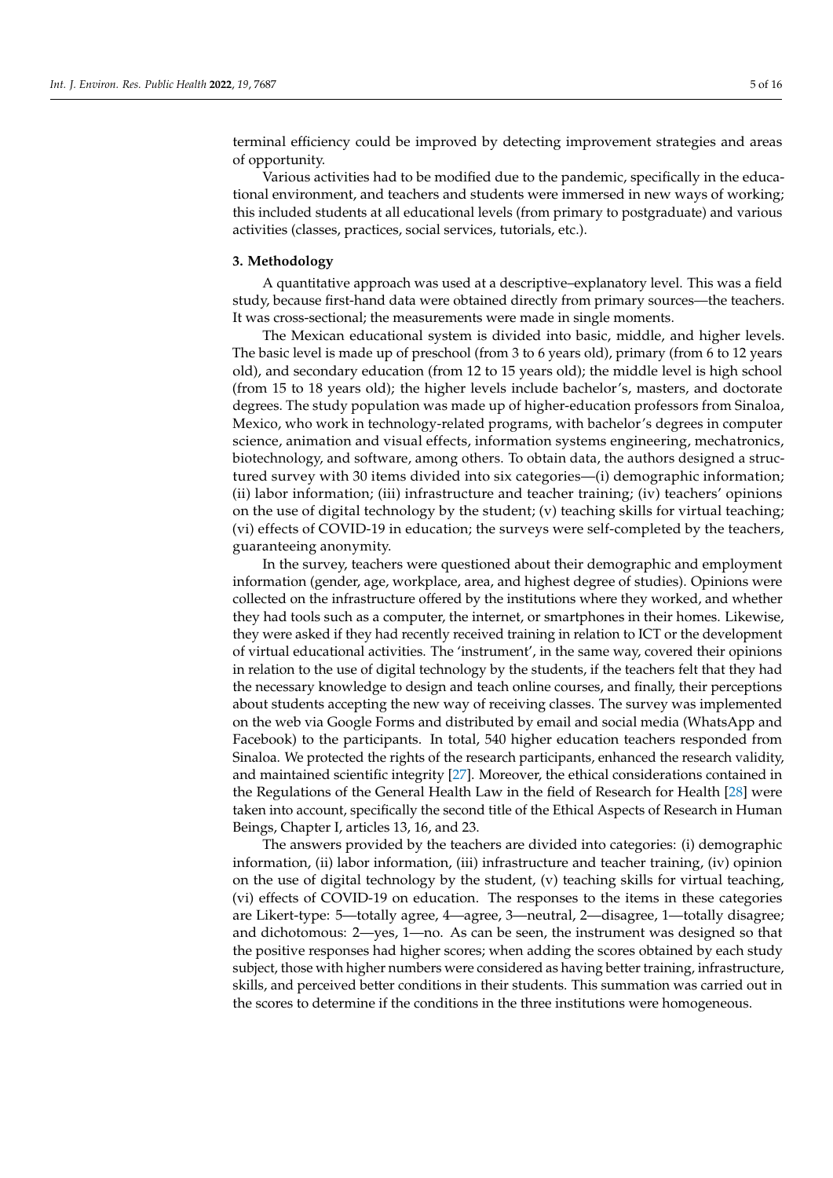terminal efficiency could be improved by detecting improvement strategies and areas of opportunity.

Various activities had to be modified due to the pandemic, specifically in the educational environment, and teachers and students were immersed in new ways of working; this included students at all educational levels (from primary to postgraduate) and various activities (classes, practices, social services, tutorials, etc.).

#### <span id="page-4-0"></span>**3. Methodology**

A quantitative approach was used at a descriptive–explanatory level. This was a field study, because first-hand data were obtained directly from primary sources—the teachers. It was cross-sectional; the measurements were made in single moments.

The Mexican educational system is divided into basic, middle, and higher levels. The basic level is made up of preschool (from 3 to 6 years old), primary (from 6 to 12 years old), and secondary education (from 12 to 15 years old); the middle level is high school (from 15 to 18 years old); the higher levels include bachelor's, masters, and doctorate degrees. The study population was made up of higher-education professors from Sinaloa, Mexico, who work in technology-related programs, with bachelor's degrees in computer science, animation and visual effects, information systems engineering, mechatronics, biotechnology, and software, among others. To obtain data, the authors designed a structured survey with 30 items divided into six categories—(i) demographic information; (ii) labor information; (iii) infrastructure and teacher training; (iv) teachers' opinions on the use of digital technology by the student; (v) teaching skills for virtual teaching; (vi) effects of COVID-19 in education; the surveys were self-completed by the teachers, guaranteeing anonymity.

In the survey, teachers were questioned about their demographic and employment information (gender, age, workplace, area, and highest degree of studies). Opinions were collected on the infrastructure offered by the institutions where they worked, and whether they had tools such as a computer, the internet, or smartphones in their homes. Likewise, they were asked if they had recently received training in relation to ICT or the development of virtual educational activities. The 'instrument', in the same way, covered their opinions in relation to the use of digital technology by the students, if the teachers felt that they had the necessary knowledge to design and teach online courses, and finally, their perceptions about students accepting the new way of receiving classes. The survey was implemented on the web via Google Forms and distributed by email and social media (WhatsApp and Facebook) to the participants. In total, 540 higher education teachers responded from Sinaloa. We protected the rights of the research participants, enhanced the research validity, and maintained scientific integrity [\[27\]](#page-14-24). Moreover, the ethical considerations contained in the Regulations of the General Health Law in the field of Research for Health [\[28\]](#page-14-25) were taken into account, specifically the second title of the Ethical Aspects of Research in Human Beings, Chapter I, articles 13, 16, and 23.

The answers provided by the teachers are divided into categories: (i) demographic information, (ii) labor information, (iii) infrastructure and teacher training, (iv) opinion on the use of digital technology by the student, (v) teaching skills for virtual teaching, (vi) effects of COVID-19 on education. The responses to the items in these categories are Likert-type: 5—totally agree, 4—agree, 3—neutral, 2—disagree, 1—totally disagree; and dichotomous: 2—yes, 1—no. As can be seen, the instrument was designed so that the positive responses had higher scores; when adding the scores obtained by each study subject, those with higher numbers were considered as having better training, infrastructure, skills, and perceived better conditions in their students. This summation was carried out in the scores to determine if the conditions in the three institutions were homogeneous.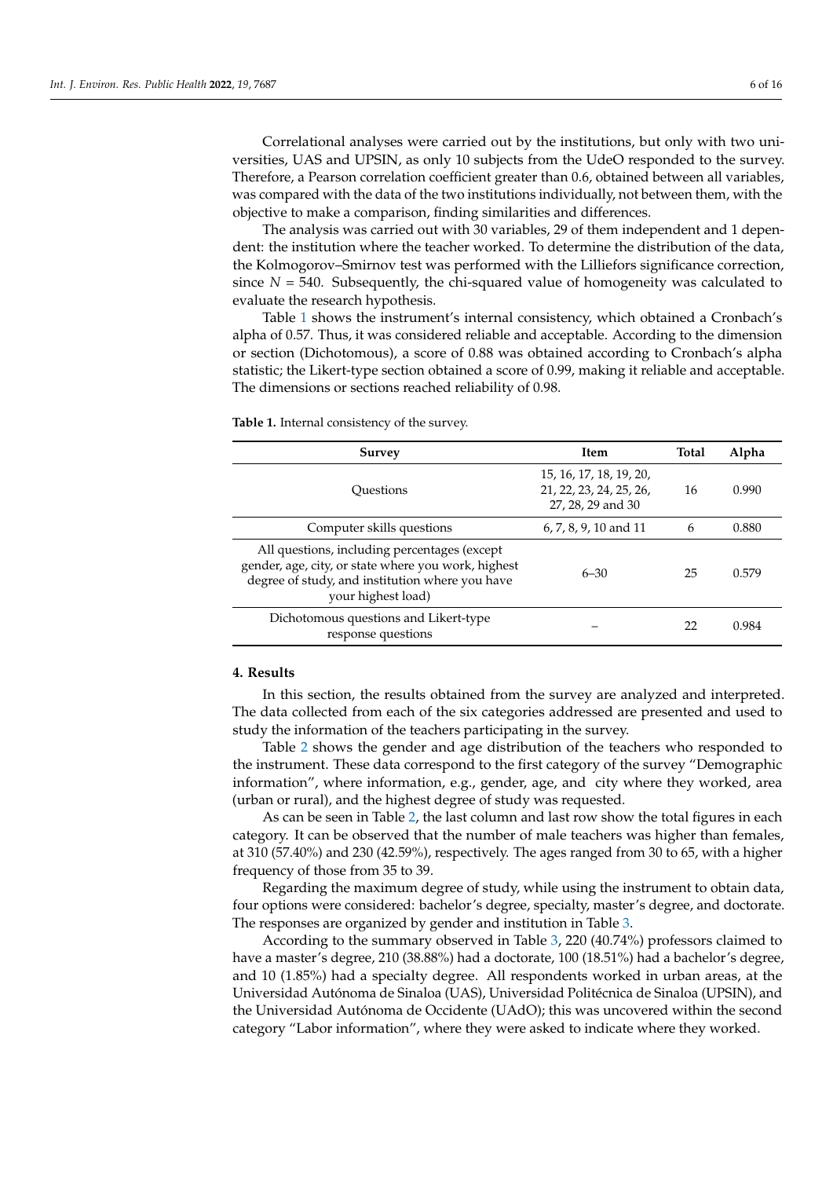Correlational analyses were carried out by the institutions, but only with two universities, UAS and UPSIN, as only 10 subjects from the UdeO responded to the survey. Therefore, a Pearson correlation coefficient greater than 0.6, obtained between all variables, was compared with the data of the two institutions individually, not between them, with the objective to make a comparison, finding similarities and differences.

The analysis was carried out with 30 variables, 29 of them independent and 1 dependent: the institution where the teacher worked. To determine the distribution of the data, the Kolmogorov–Smirnov test was performed with the Lilliefors significance correction, since  $N = 540$ . Subsequently, the chi-squared value of homogeneity was calculated to evaluate the research hypothesis.

Table [1](#page-5-1) shows the instrument's internal consistency, which obtained a Cronbach's alpha of 0.57. Thus, it was considered reliable and acceptable. According to the dimension or section (Dichotomous), a score of 0.88 was obtained according to Cronbach's alpha statistic; the Likert-type section obtained a score of 0.99, making it reliable and acceptable. The dimensions or sections reached reliability of 0.98.

| <b>Survey</b>                                                                                                                                                                | <b>Item</b>                                                             | <b>Total</b> | Alpha |
|------------------------------------------------------------------------------------------------------------------------------------------------------------------------------|-------------------------------------------------------------------------|--------------|-------|
| Ouestions                                                                                                                                                                    | 15, 16, 17, 18, 19, 20,<br>21, 22, 23, 24, 25, 26,<br>27, 28, 29 and 30 | 16           | 0.990 |
| Computer skills questions                                                                                                                                                    | $6, 7, 8, 9, 10$ and 11                                                 | 6            | 0.880 |
| All questions, including percentages (except<br>gender, age, city, or state where you work, highest<br>degree of study, and institution where you have<br>your highest load) | $6 - 30$                                                                | 25           | 0.579 |
| Dichotomous questions and Likert-type<br>response questions                                                                                                                  |                                                                         | 22           | 0.984 |

<span id="page-5-1"></span>**Table 1.** Internal consistency of the survey.

# <span id="page-5-0"></span>**4. Results**

In this section, the results obtained from the survey are analyzed and interpreted. The data collected from each of the six categories addressed are presented and used to study the information of the teachers participating in the survey.

Table [2](#page-6-0) shows the gender and age distribution of the teachers who responded to the instrument. These data correspond to the first category of the survey "Demographic information", where information, e.g., gender, age, and city where they worked, area (urban or rural), and the highest degree of study was requested.

As can be seen in Table [2,](#page-6-0) the last column and last row show the total figures in each category. It can be observed that the number of male teachers was higher than females, at 310 (57.40%) and 230 (42.59%), respectively. The ages ranged from 30 to 65, with a higher frequency of those from 35 to 39.

Regarding the maximum degree of study, while using the instrument to obtain data, four options were considered: bachelor's degree, specialty, master's degree, and doctorate. The responses are organized by gender and institution in Table [3.](#page-6-1)

According to the summary observed in Table [3,](#page-6-1) 220 (40.74%) professors claimed to have a master's degree, 210 (38.88%) had a doctorate, 100 (18.51%) had a bachelor's degree, and 10 (1.85%) had a specialty degree. All respondents worked in urban areas, at the Universidad Autónoma de Sinaloa (UAS), Universidad Politécnica de Sinaloa (UPSIN), and the Universidad Autónoma de Occidente (UAdO); this was uncovered within the second category "Labor information", where they were asked to indicate where they worked.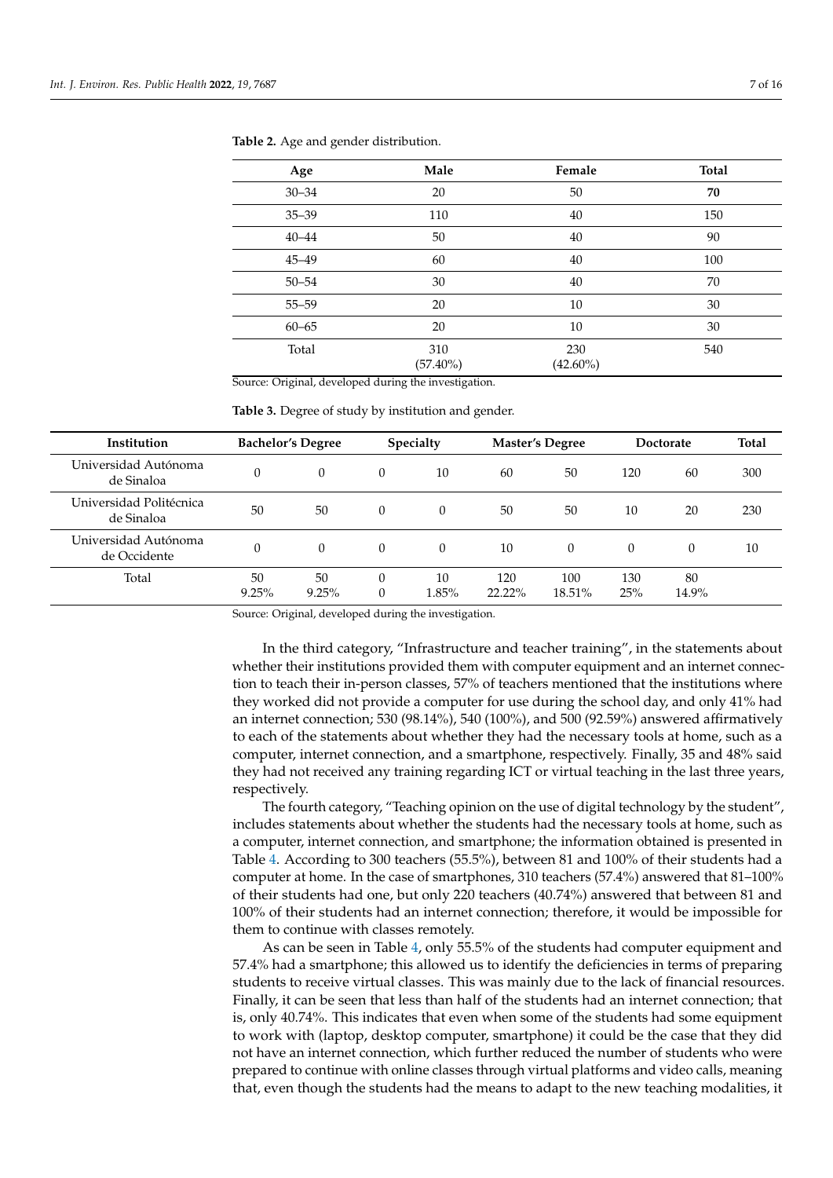| Age       | Male               | Female             | Total |
|-----------|--------------------|--------------------|-------|
| $30 - 34$ | 20                 | 50                 | 70    |
| $35 - 39$ | 110                | 40                 | 150   |
| $40 - 44$ | 50                 | 40                 | 90    |
| $45 - 49$ | 60                 | 40                 | 100   |
| $50 - 54$ | 30                 | 40                 | 70    |
| $55 - 59$ | 20                 | 10                 | 30    |
| $60 - 65$ | 20                 | 10                 | 30    |
| Total     | 310<br>$(57.40\%)$ | 230<br>$(42.60\%)$ | 540   |

<span id="page-6-0"></span>**Table 2.** Age and gender distribution.

Source: Original, developed during the investigation.

<span id="page-6-1"></span>**Table 3.** Degree of study by institution and gender.

| <b>Institution</b>                    |             | <b>Bachelor's Degree</b> |               | Specialty   |               | <b>Master's Degree</b> |            | <b>Doctorate</b> | Total |
|---------------------------------------|-------------|--------------------------|---------------|-------------|---------------|------------------------|------------|------------------|-------|
| Universidad Autónoma<br>de Sinaloa    | $\Omega$    | $\Omega$                 | $\Omega$      | 10          | 60            | 50                     | 120        | 60               | 300   |
| Universidad Politécnica<br>de Sinaloa | 50          | 50                       | $\Omega$      | $\theta$    | 50            | 50                     | 10         | 20               | 230   |
| Universidad Autónoma<br>de Occidente  | $\Omega$    | $\Omega$                 | $\Omega$      | $\theta$    | 10            | $\Omega$               | $\Omega$   | $\Omega$         | 10    |
| Total                                 | 50<br>9.25% | 50<br>9.25%              | $\theta$<br>0 | 10<br>1.85% | 120<br>22.22% | 100<br>18.51%          | 130<br>25% | 80<br>14.9%      |       |

Source: Original, developed during the investigation.

In the third category, "Infrastructure and teacher training", in the statements about whether their institutions provided them with computer equipment and an internet connection to teach their in-person classes, 57% of teachers mentioned that the institutions where they worked did not provide a computer for use during the school day, and only 41% had an internet connection; 530 (98.14%), 540 (100%), and 500 (92.59%) answered affirmatively to each of the statements about whether they had the necessary tools at home, such as a computer, internet connection, and a smartphone, respectively. Finally, 35 and 48% said they had not received any training regarding ICT or virtual teaching in the last three years, respectively.

The fourth category, "Teaching opinion on the use of digital technology by the student", includes statements about whether the students had the necessary tools at home, such as a computer, internet connection, and smartphone; the information obtained is presented in Table [4.](#page-7-0) According to 300 teachers (55.5%), between 81 and 100% of their students had a computer at home. In the case of smartphones, 310 teachers (57.4%) answered that 81–100% of their students had one, but only 220 teachers (40.74%) answered that between 81 and 100% of their students had an internet connection; therefore, it would be impossible for them to continue with classes remotely.

As can be seen in Table [4,](#page-7-0) only 55.5% of the students had computer equipment and 57.4% had a smartphone; this allowed us to identify the deficiencies in terms of preparing students to receive virtual classes. This was mainly due to the lack of financial resources. Finally, it can be seen that less than half of the students had an internet connection; that is, only 40.74%. This indicates that even when some of the students had some equipment to work with (laptop, desktop computer, smartphone) it could be the case that they did not have an internet connection, which further reduced the number of students who were prepared to continue with online classes through virtual platforms and video calls, meaning that, even though the students had the means to adapt to the new teaching modalities, it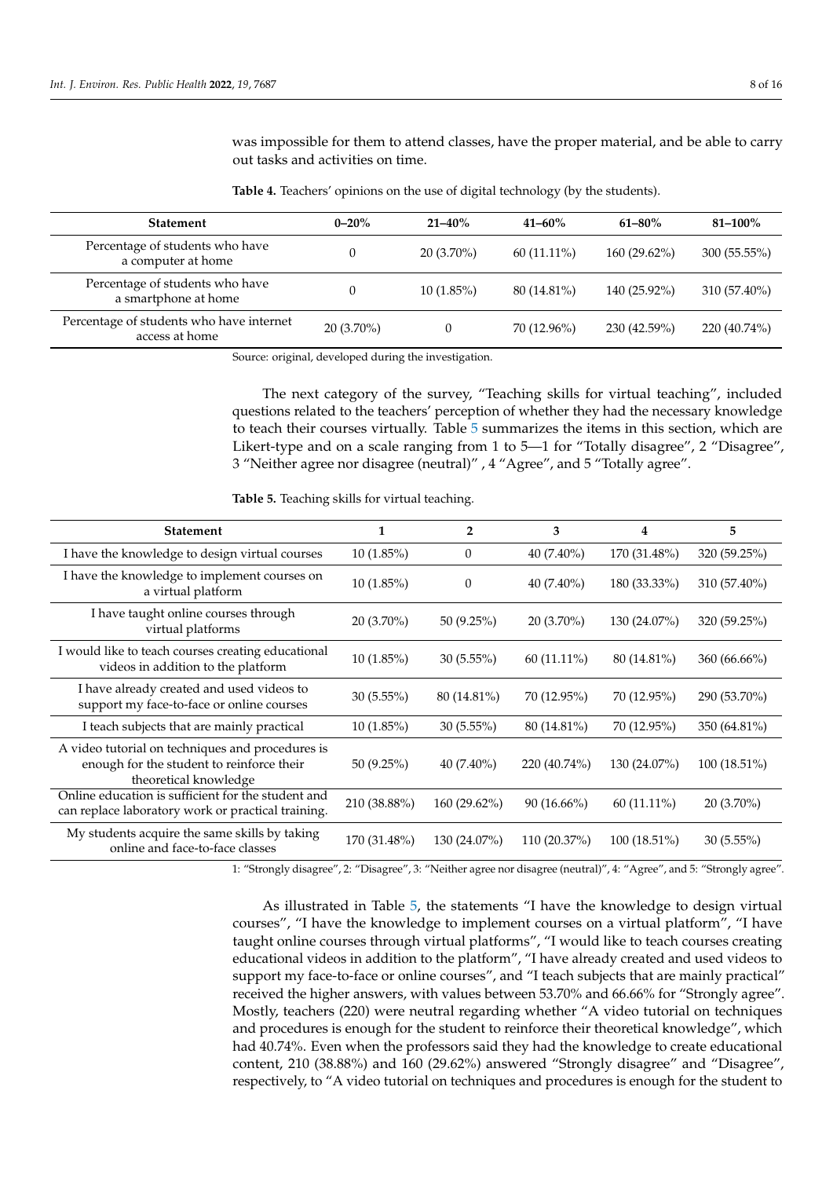was impossible for them to attend classes, have the proper material, and be able to carry out tasks and activities on time.

| <b>Statement</b>                                           | $0 - 20%$    | $21 - 40\%$  | $41 - 60\%$   | $61 - 80\%$    | $81 - 100\%$ |
|------------------------------------------------------------|--------------|--------------|---------------|----------------|--------------|
| Percentage of students who have<br>a computer at home      |              | $20(3.70\%)$ | $60(11.11\%)$ | $160(29.62\%)$ | 300(55.55%)  |
| Percentage of students who have<br>a smartphone at home    |              | $10(1.85\%)$ | 80 (14.81%)   | 140 (25.92%)   | 310 (57.40%) |
| Percentage of students who have internet<br>access at home | $20(3.70\%)$ | U            | 70 (12.96%)   | 230 (42.59%)   | 220 (40.74%) |

<span id="page-7-0"></span>**Table 4.** Teachers' opinions on the use of digital technology (by the students).

Source: original, developed during the investigation.

The next category of the survey, "Teaching skills for virtual teaching", included questions related to the teachers' perception of whether they had the necessary knowledge to teach their courses virtually. Table [5](#page-7-1) summarizes the items in this section, which are Likert-type and on a scale ranging from 1 to 5-1 for "Totally disagree", 2 "Disagree", 3 "Neither agree nor disagree (neutral)" , 4 "Agree", and 5 "Totally agree".

<span id="page-7-1"></span>**Table 5.** Teaching skills for virtual teaching.

| <b>Statement</b>                                                                                                       |              | $\overline{2}$ | 3             | 4             | 5              |
|------------------------------------------------------------------------------------------------------------------------|--------------|----------------|---------------|---------------|----------------|
| I have the knowledge to design virtual courses                                                                         | $10(1.85\%)$ | $\mathbf{0}$   | $40(7.40\%)$  | 170 (31.48%)  | 320 (59.25%)   |
| I have the knowledge to implement courses on<br>a virtual platform                                                     | $10(1.85\%)$ | $\Omega$       | $40(7.40\%)$  | 180 (33.33%)  | 310 (57.40%)   |
| I have taught online courses through<br>virtual platforms                                                              | 20 (3.70%)   | 50(9.25%)      | $20(3.70\%)$  | 130 (24.07%)  | 320 (59.25%)   |
| I would like to teach courses creating educational<br>videos in addition to the platform                               | $10(1.85\%)$ | 30(5.55%)      | $60(11.11\%)$ | 80 (14.81%)   | 360(66.66%)    |
| I have already created and used videos to<br>support my face-to-face or online courses                                 | $30(5.55\%)$ | 80 (14.81%)    | 70 (12.95%)   | 70 (12.95%)   | 290 (53.70%)   |
| I teach subjects that are mainly practical                                                                             | 10(1.85%)    | 30(5.55%)      | 80 (14.81%)   | 70 (12.95%)   | 350 (64.81%)   |
| A video tutorial on techniques and procedures is<br>enough for the student to reinforce their<br>theoretical knowledge | 50(9.25%)    | $40(7.40\%)$   | 220 (40.74%)  | 130 (24.07%)  | $100(18.51\%)$ |
| Online education is sufficient for the student and<br>can replace laboratory work or practical training.               | 210 (38.88%) | 160 (29.62%)   | $90(16.66\%)$ | $60(11.11\%)$ | $20(3.70\%)$   |
| My students acquire the same skills by taking<br>online and face-to-face classes                                       | 170 (31.48%) | 130 (24.07%)   | 110(20.37%)   | 100 (18.51%)  | $30(5.55\%)$   |

1: "Strongly disagree", 2: "Disagree", 3: "Neither agree nor disagree (neutral)", 4: "Agree", and 5: "Strongly agree".

As illustrated in Table [5,](#page-7-1) the statements "I have the knowledge to design virtual courses", "I have the knowledge to implement courses on a virtual platform", "I have taught online courses through virtual platforms", "I would like to teach courses creating educational videos in addition to the platform", "I have already created and used videos to support my face-to-face or online courses", and "I teach subjects that are mainly practical" received the higher answers, with values between 53.70% and 66.66% for "Strongly agree". Mostly, teachers (220) were neutral regarding whether "A video tutorial on techniques and procedures is enough for the student to reinforce their theoretical knowledge", which had 40.74%. Even when the professors said they had the knowledge to create educational content, 210 (38.88%) and 160 (29.62%) answered "Strongly disagree" and "Disagree", respectively, to "A video tutorial on techniques and procedures is enough for the student to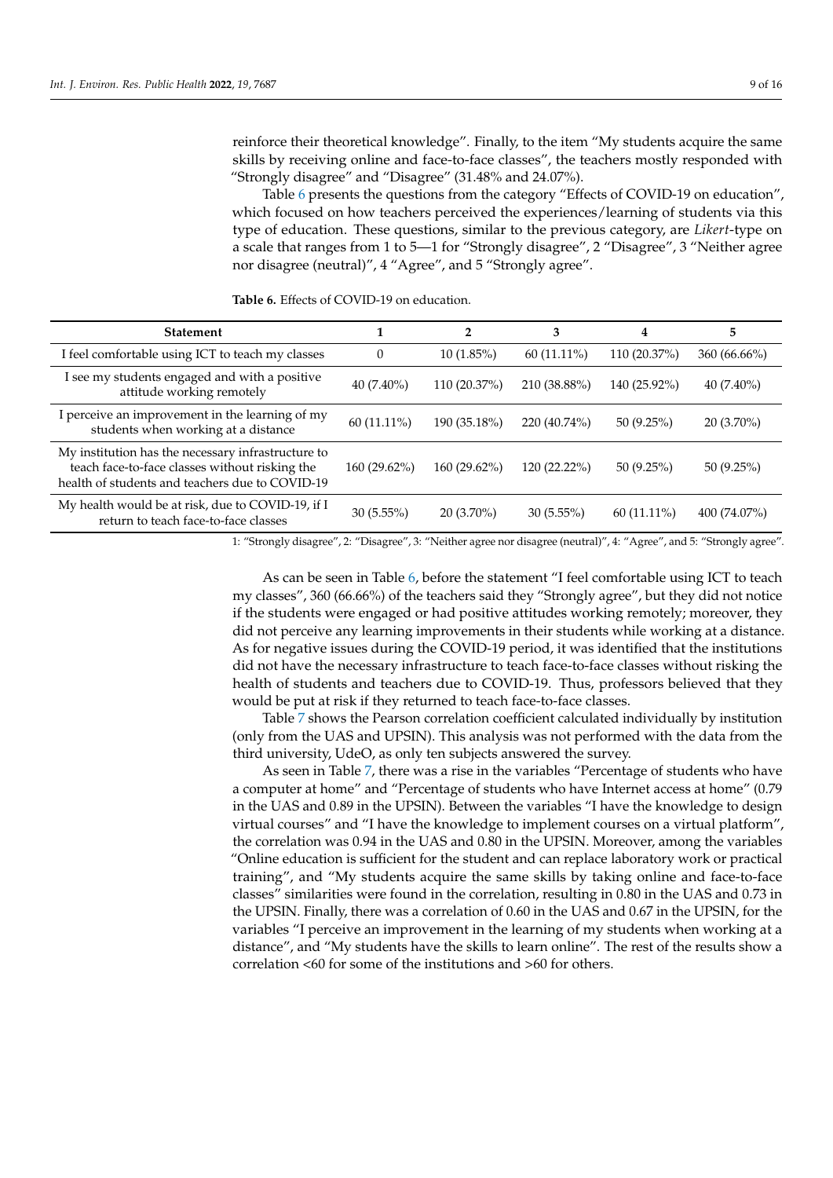reinforce their theoretical knowledge". Finally, to the item "My students acquire the same skills by receiving online and face-to-face classes", the teachers mostly responded with "Strongly disagree" and "Disagree" (31.48% and 24.07%).

Table [6](#page-8-0) presents the questions from the category "Effects of COVID-19 on education", which focused on how teachers perceived the experiences/learning of students via this type of education. These questions, similar to the previous category, are *Likert*-type on a scale that ranges from 1 to 5—1 for "Strongly disagree", 2 "Disagree", 3 "Neither agree nor disagree (neutral)", 4 "Agree", and 5 "Strongly agree".

| <b>Statement</b>                                                                                                                                        |               | $\overline{2}$ | 3             | 4             | 5            |
|---------------------------------------------------------------------------------------------------------------------------------------------------------|---------------|----------------|---------------|---------------|--------------|
| I feel comfortable using ICT to teach my classes                                                                                                        | $\Omega$      | $10(1.85\%)$   | $60(11.11\%)$ | 110 (20.37%)  | 360(66.66%)  |
| I see my students engaged and with a positive<br>attitude working remotely                                                                              | $40(7.40\%)$  | 110 (20.37%)   | 210 (38.88%)  | 140 (25.92%)  | $40(7.40\%)$ |
| I perceive an improvement in the learning of my<br>students when working at a distance                                                                  | $60(11.11\%)$ | 190 (35.18%)   | 220 (40.74%)  | 50(9.25%)     | $20(3.70\%)$ |
| My institution has the necessary infrastructure to<br>teach face-to-face classes without risking the<br>health of students and teachers due to COVID-19 | 160 (29.62%)  | $160(29.62\%)$ | 120 (22.22%)  | 50(9.25%)     | 50(9.25%)    |
| My health would be at risk, due to COVID-19, if I<br>return to teach face-to-face classes                                                               | 30(5.55%)     | $20(3.70\%)$   | 30(5.55%)     | $60(11.11\%)$ | 400 (74.07%) |

<span id="page-8-0"></span>**Table 6.** Effects of COVID-19 on education.

1: "Strongly disagree", 2: "Disagree", 3: "Neither agree nor disagree (neutral)", 4: "Agree", and 5: "Strongly agree".

As can be seen in Table [6,](#page-8-0) before the statement "I feel comfortable using ICT to teach my classes", 360 (66.66%) of the teachers said they "Strongly agree", but they did not notice if the students were engaged or had positive attitudes working remotely; moreover, they did not perceive any learning improvements in their students while working at a distance. As for negative issues during the COVID-19 period, it was identified that the institutions did not have the necessary infrastructure to teach face-to-face classes without risking the health of students and teachers due to COVID-19. Thus, professors believed that they would be put at risk if they returned to teach face-to-face classes.

Table [7](#page-9-0) shows the Pearson correlation coefficient calculated individually by institution (only from the UAS and UPSIN). This analysis was not performed with the data from the third university, UdeO, as only ten subjects answered the survey.

As seen in Table [7,](#page-9-0) there was a rise in the variables "Percentage of students who have a computer at home" and "Percentage of students who have Internet access at home" (0.79 in the UAS and 0.89 in the UPSIN). Between the variables "I have the knowledge to design virtual courses" and "I have the knowledge to implement courses on a virtual platform", the correlation was 0.94 in the UAS and 0.80 in the UPSIN. Moreover, among the variables "Online education is sufficient for the student and can replace laboratory work or practical training", and "My students acquire the same skills by taking online and face-to-face classes" similarities were found in the correlation, resulting in 0.80 in the UAS and 0.73 in the UPSIN. Finally, there was a correlation of 0.60 in the UAS and 0.67 in the UPSIN, for the variables "I perceive an improvement in the learning of my students when working at a distance", and "My students have the skills to learn online". The rest of the results show a correlation <60 for some of the institutions and >60 for others.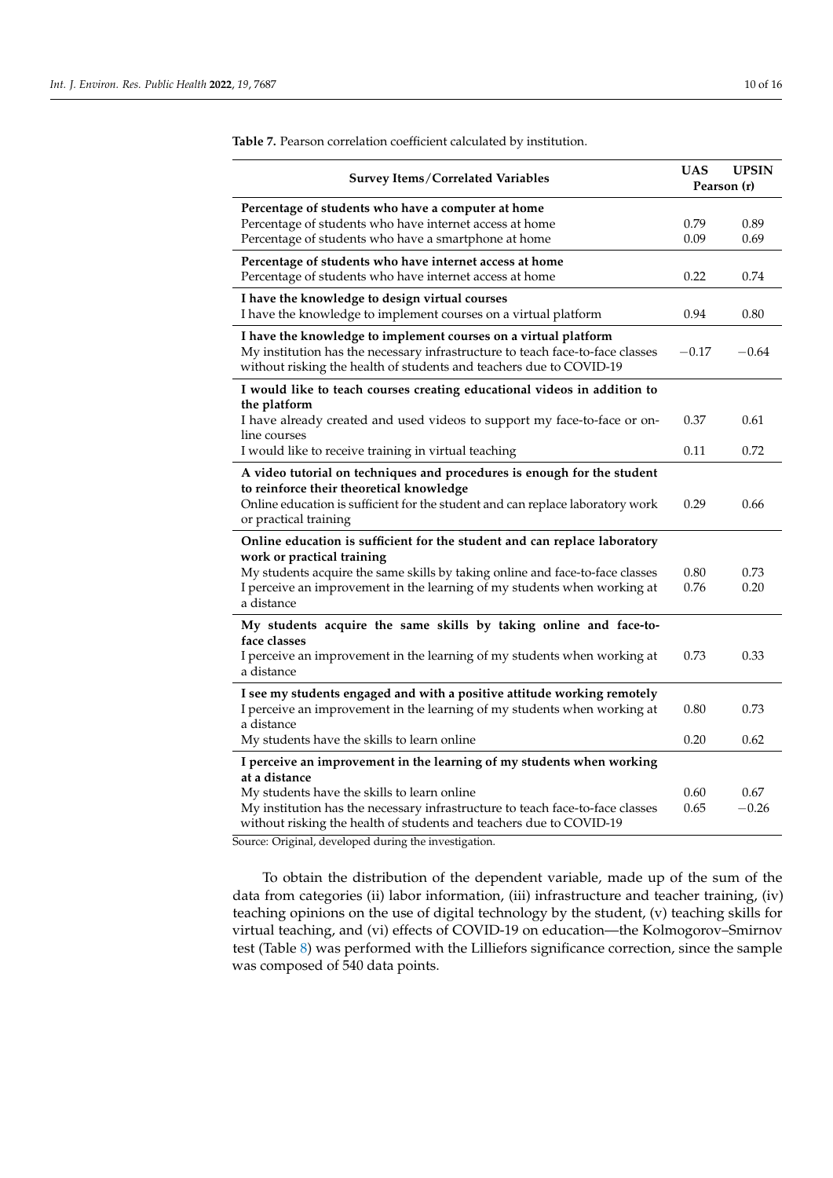| Survey Items/Correlated Variables                                                                                                                                                                                              | <b>UAS</b>   | <b>UPSIN</b><br>Pearson (r) |
|--------------------------------------------------------------------------------------------------------------------------------------------------------------------------------------------------------------------------------|--------------|-----------------------------|
| Percentage of students who have a computer at home<br>Percentage of students who have internet access at home<br>Percentage of students who have a smartphone at home                                                          | 0.79<br>0.09 | 0.89<br>0.69                |
| Percentage of students who have internet access at home<br>Percentage of students who have internet access at home                                                                                                             | 0.22         | 0.74                        |
| I have the knowledge to design virtual courses<br>I have the knowledge to implement courses on a virtual platform                                                                                                              | 0.94         | 0.80                        |
| I have the knowledge to implement courses on a virtual platform<br>My institution has the necessary infrastructure to teach face-to-face classes<br>without risking the health of students and teachers due to COVID-19        | $-0.17$      | $-0.64$                     |
| I would like to teach courses creating educational videos in addition to                                                                                                                                                       |              |                             |
| the platform<br>I have already created and used videos to support my face-to-face or on-<br>line courses                                                                                                                       | 0.37         | 0.61                        |
| I would like to receive training in virtual teaching                                                                                                                                                                           | 0.11         | 0.72                        |
| A video tutorial on techniques and procedures is enough for the student<br>to reinforce their theoretical knowledge<br>Online education is sufficient for the student and can replace laboratory work<br>or practical training | 0.29         | 0.66                        |
| Online education is sufficient for the student and can replace laboratory<br>work or practical training                                                                                                                        | 0.80         | 0.73                        |
| My students acquire the same skills by taking online and face-to-face classes<br>I perceive an improvement in the learning of my students when working at<br>a distance                                                        | 0.76         | 0.20                        |
| My students acquire the same skills by taking online and face-to-                                                                                                                                                              |              |                             |
| face classes<br>I perceive an improvement in the learning of my students when working at<br>a distance                                                                                                                         | 0.73         | 0.33                        |
| I see my students engaged and with a positive attitude working remotely<br>I perceive an improvement in the learning of my students when working at<br>a distance                                                              | 0.80         | 0.73                        |
| My students have the skills to learn online                                                                                                                                                                                    | 0.20         | 0.62                        |
| I perceive an improvement in the learning of my students when working                                                                                                                                                          |              |                             |
| at a distance<br>My students have the skills to learn online<br>My institution has the necessary infrastructure to teach face-to-face classes<br>without risking the health of students and teachers due to COVID-19           | 0.60<br>0.65 | 0.67<br>$-0.26$             |

<span id="page-9-0"></span>**Table 7.** Pearson correlation coefficient calculated by institution.

Source: Original, developed during the investigation.

To obtain the distribution of the dependent variable, made up of the sum of the data from categories (ii) labor information, (iii) infrastructure and teacher training, (iv) teaching opinions on the use of digital technology by the student, (v) teaching skills for virtual teaching, and (vi) effects of COVID-19 on education—the Kolmogorov–Smirnov test (Table [8\)](#page-10-0) was performed with the Lilliefors significance correction, since the sample was composed of 540 data points.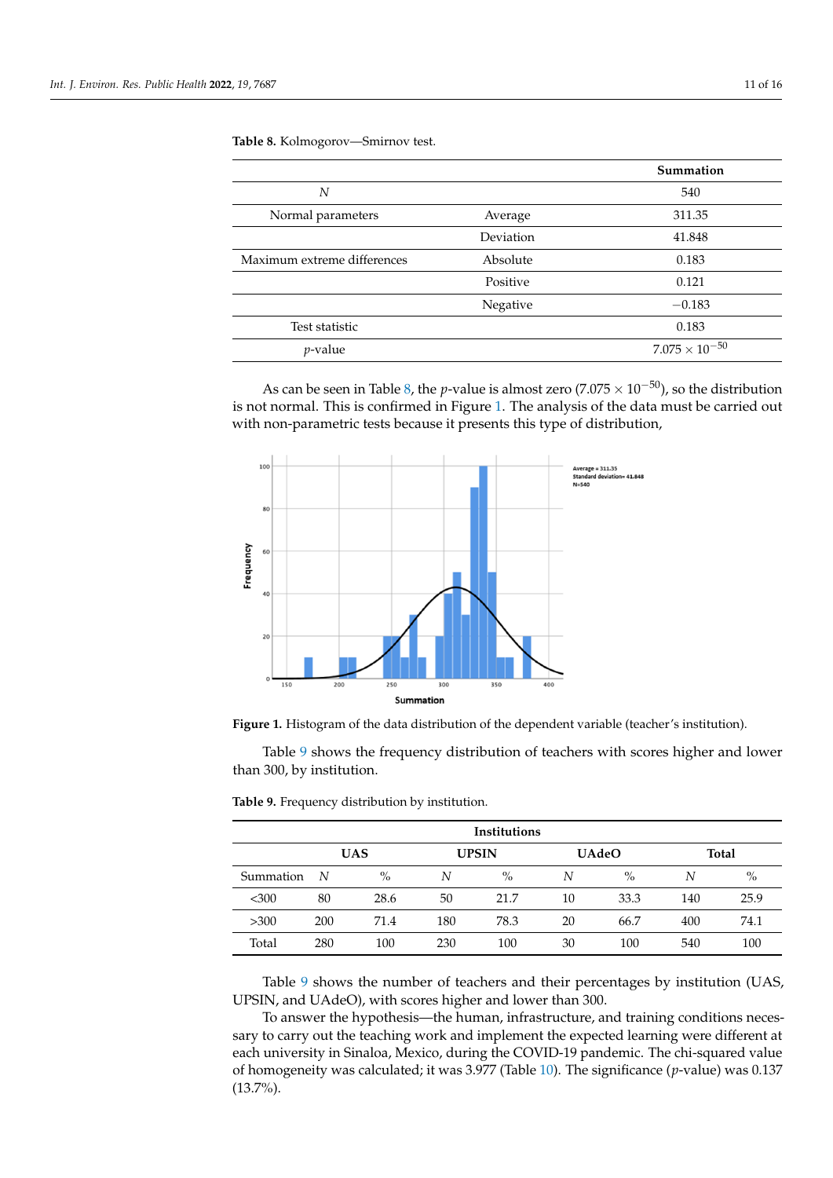<span id="page-10-0"></span>**Table 8.** Kolmogorov—Smirnov test.

|                             |           | Summation               |
|-----------------------------|-----------|-------------------------|
| N                           |           | 540                     |
| Normal parameters           | Average   | 311.35                  |
|                             | Deviation | 41.848                  |
| Maximum extreme differences | Absolute  | 0.183                   |
|                             | Positive  | 0.121                   |
|                             | Negative  | $-0.183$                |
| Test statistic              |           | 0.183                   |
| <i>p</i> -value             |           | $7.075 \times 10^{-50}$ |

As can be seen in Table [8,](#page-10-0) the *p*-value is almost zero (7.075 × 10−50), so the distribution is not normal. This is confirmed in Figure [1.](#page-10-1) The analysis of the data must be carried out with non-parametric tests because it presents this type of distribution,

<span id="page-10-1"></span>



Table [9](#page-10-2) shows the frequency distribution of teachers with scores higher and lower than 300, by institution.

| Institutions                                               |     |      |     |      |    |      |     |      |
|------------------------------------------------------------|-----|------|-----|------|----|------|-----|------|
| <b>UAS</b><br><b>UAdeO</b><br><b>Total</b><br><b>UPSIN</b> |     |      |     |      |    |      |     |      |
| Summation                                                  | - N | $\%$ | N   | $\%$ | N  | $\%$ | N   | $\%$ |
| <,300                                                      | 80  | 28.6 | 50  | 21.7 | 10 | 33.3 | 140 | 25.9 |
| >300                                                       | 200 | 71.4 | 180 | 78.3 | 20 | 66.7 | 400 | 74.1 |
| Total                                                      | 280 | 100  | 230 | 100  | 30 | 100  | 540 | 100  |

<span id="page-10-2"></span>**Table 9.** Frequency distribution by institution.

Table [9](#page-10-2) shows the number of teachers and their percentages by institution (UAS, UPSIN, and UAdeO), with scores higher and lower than 300.

To answer the hypothesis—the human, infrastructure, and training conditions necessary to carry out the teaching work and implement the expected learning were different at each university in Sinaloa, Mexico, during the COVID-19 pandemic. The chi-squared value of homogeneity was calculated; it was 3.977 (Table [10\)](#page-11-1). The significance (*p*-value) was 0.137 (13.7%).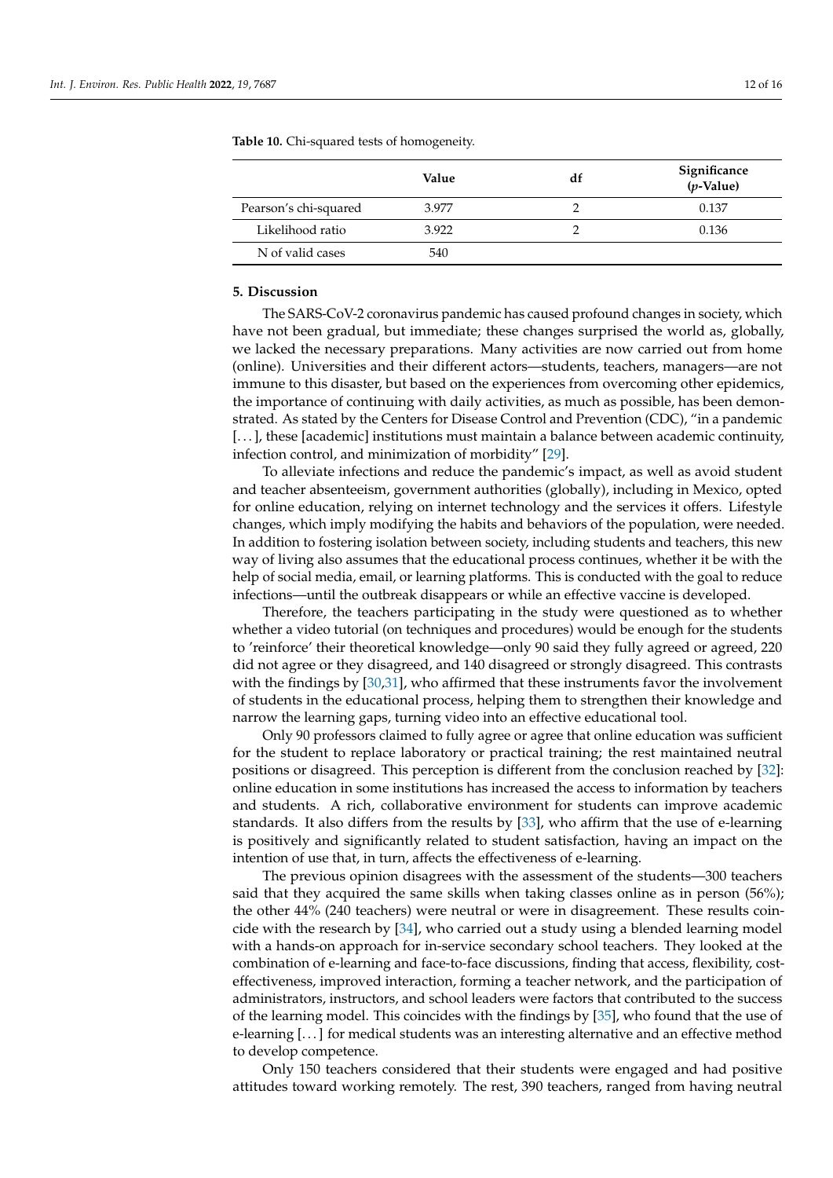|                       | Value | df | Significance<br>$(p$ -Value) |
|-----------------------|-------|----|------------------------------|
| Pearson's chi-squared | 3.977 |    | 0.137                        |
| Likelihood ratio      | 3.922 |    | 0.136                        |
| N of valid cases      | 540   |    |                              |

<span id="page-11-1"></span>**Table 10.** Chi-squared tests of homogeneity.

# <span id="page-11-0"></span>**5. Discussion**

The SARS-CoV-2 coronavirus pandemic has caused profound changes in society, which have not been gradual, but immediate; these changes surprised the world as, globally, we lacked the necessary preparations. Many activities are now carried out from home (online). Universities and their different actors—students, teachers, managers—are not immune to this disaster, but based on the experiences from overcoming other epidemics, the importance of continuing with daily activities, as much as possible, has been demonstrated. As stated by the Centers for Disease Control and Prevention (CDC), "in a pandemic [...], these [academic] institutions must maintain a balance between academic continuity, infection control, and minimization of morbidity" [\[29\]](#page-14-26).

To alleviate infections and reduce the pandemic's impact, as well as avoid student and teacher absenteeism, government authorities (globally), including in Mexico, opted for online education, relying on internet technology and the services it offers. Lifestyle changes, which imply modifying the habits and behaviors of the population, were needed. In addition to fostering isolation between society, including students and teachers, this new way of living also assumes that the educational process continues, whether it be with the help of social media, email, or learning platforms. This is conducted with the goal to reduce infections—until the outbreak disappears or while an effective vaccine is developed.

Therefore, the teachers participating in the study were questioned as to whether whether a video tutorial (on techniques and procedures) would be enough for the students to 'reinforce' their theoretical knowledge—only 90 said they fully agreed or agreed, 220 did not agree or they disagreed, and 140 disagreed or strongly disagreed. This contrasts with the findings by [\[30,](#page-14-27)[31\]](#page-15-0), who affirmed that these instruments favor the involvement of students in the educational process, helping them to strengthen their knowledge and narrow the learning gaps, turning video into an effective educational tool.

Only 90 professors claimed to fully agree or agree that online education was sufficient for the student to replace laboratory or practical training; the rest maintained neutral positions or disagreed. This perception is different from the conclusion reached by [\[32\]](#page-15-1): online education in some institutions has increased the access to information by teachers and students. A rich, collaborative environment for students can improve academic standards. It also differs from the results by [\[33\]](#page-15-2), who affirm that the use of e-learning is positively and significantly related to student satisfaction, having an impact on the intention of use that, in turn, affects the effectiveness of e-learning.

The previous opinion disagrees with the assessment of the students—300 teachers said that they acquired the same skills when taking classes online as in person (56%); the other 44% (240 teachers) were neutral or were in disagreement. These results coincide with the research by [\[34\]](#page-15-3), who carried out a study using a blended learning model with a hands-on approach for in-service secondary school teachers. They looked at the combination of e-learning and face-to-face discussions, finding that access, flexibility, costeffectiveness, improved interaction, forming a teacher network, and the participation of administrators, instructors, and school leaders were factors that contributed to the success of the learning model. This coincides with the findings by [\[35\]](#page-15-4), who found that the use of e-learning [. . . ] for medical students was an interesting alternative and an effective method to develop competence.

Only 150 teachers considered that their students were engaged and had positive attitudes toward working remotely. The rest, 390 teachers, ranged from having neutral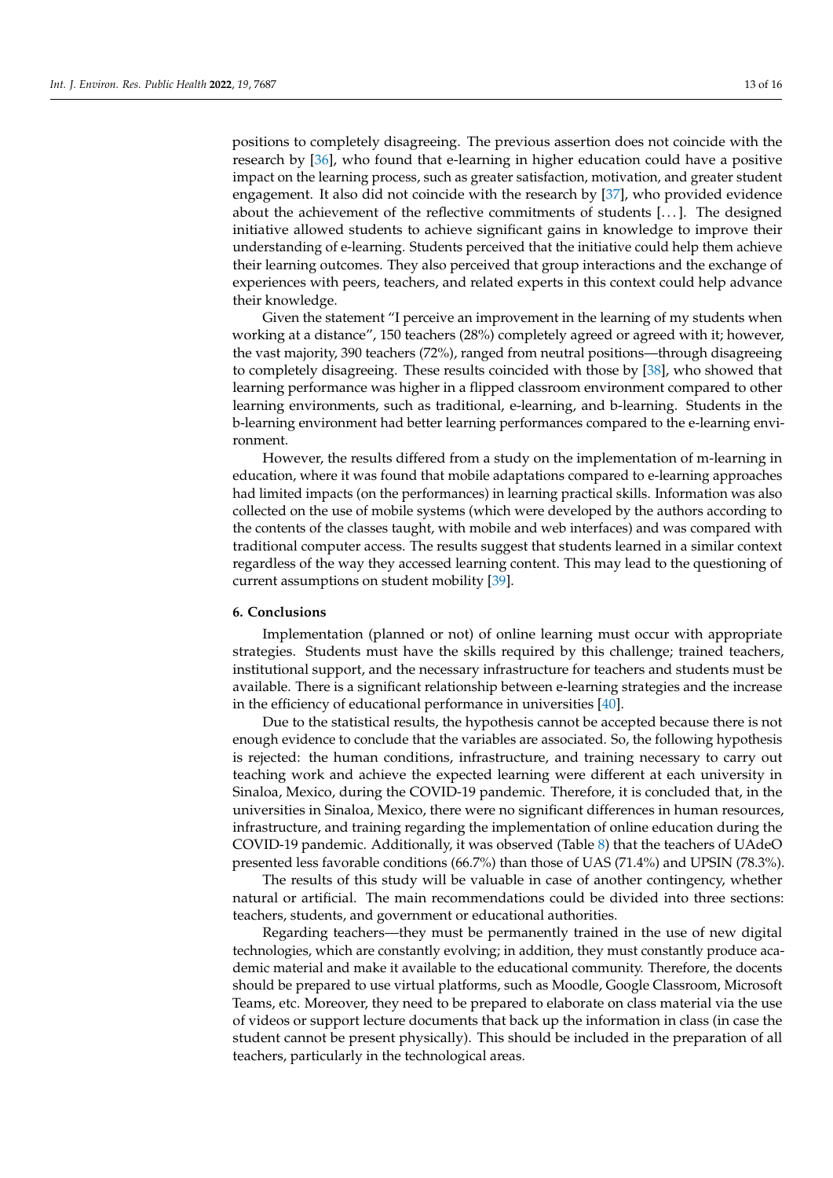positions to completely disagreeing. The previous assertion does not coincide with the research by [\[36\]](#page-15-5), who found that e-learning in higher education could have a positive impact on the learning process, such as greater satisfaction, motivation, and greater student engagement. It also did not coincide with the research by [\[37\]](#page-15-6), who provided evidence about the achievement of the reflective commitments of students [...]. The designed initiative allowed students to achieve significant gains in knowledge to improve their understanding of e-learning. Students perceived that the initiative could help them achieve their learning outcomes. They also perceived that group interactions and the exchange of experiences with peers, teachers, and related experts in this context could help advance their knowledge.

Given the statement "I perceive an improvement in the learning of my students when working at a distance", 150 teachers (28%) completely agreed or agreed with it; however, the vast majority, 390 teachers (72%), ranged from neutral positions—through disagreeing to completely disagreeing. These results coincided with those by [\[38\]](#page-15-7), who showed that learning performance was higher in a flipped classroom environment compared to other learning environments, such as traditional, e-learning, and b-learning. Students in the b-learning environment had better learning performances compared to the e-learning environment.

However, the results differed from a study on the implementation of m-learning in education, where it was found that mobile adaptations compared to e-learning approaches had limited impacts (on the performances) in learning practical skills. Information was also collected on the use of mobile systems (which were developed by the authors according to the contents of the classes taught, with mobile and web interfaces) and was compared with traditional computer access. The results suggest that students learned in a similar context regardless of the way they accessed learning content. This may lead to the questioning of current assumptions on student mobility [\[39\]](#page-15-8).

## <span id="page-12-0"></span>**6. Conclusions**

Implementation (planned or not) of online learning must occur with appropriate strategies. Students must have the skills required by this challenge; trained teachers, institutional support, and the necessary infrastructure for teachers and students must be available. There is a significant relationship between e-learning strategies and the increase in the efficiency of educational performance in universities [\[40\]](#page-15-9).

Due to the statistical results, the hypothesis cannot be accepted because there is not enough evidence to conclude that the variables are associated. So, the following hypothesis is rejected: the human conditions, infrastructure, and training necessary to carry out teaching work and achieve the expected learning were different at each university in Sinaloa, Mexico, during the COVID-19 pandemic. Therefore, it is concluded that, in the universities in Sinaloa, Mexico, there were no significant differences in human resources, infrastructure, and training regarding the implementation of online education during the COVID-19 pandemic. Additionally, it was observed (Table [8\)](#page-10-0) that the teachers of UAdeO presented less favorable conditions (66.7%) than those of UAS (71.4%) and UPSIN (78.3%).

The results of this study will be valuable in case of another contingency, whether natural or artificial. The main recommendations could be divided into three sections: teachers, students, and government or educational authorities.

Regarding teachers—they must be permanently trained in the use of new digital technologies, which are constantly evolving; in addition, they must constantly produce academic material and make it available to the educational community. Therefore, the docents should be prepared to use virtual platforms, such as Moodle, Google Classroom, Microsoft Teams, etc. Moreover, they need to be prepared to elaborate on class material via the use of videos or support lecture documents that back up the information in class (in case the student cannot be present physically). This should be included in the preparation of all teachers, particularly in the technological areas.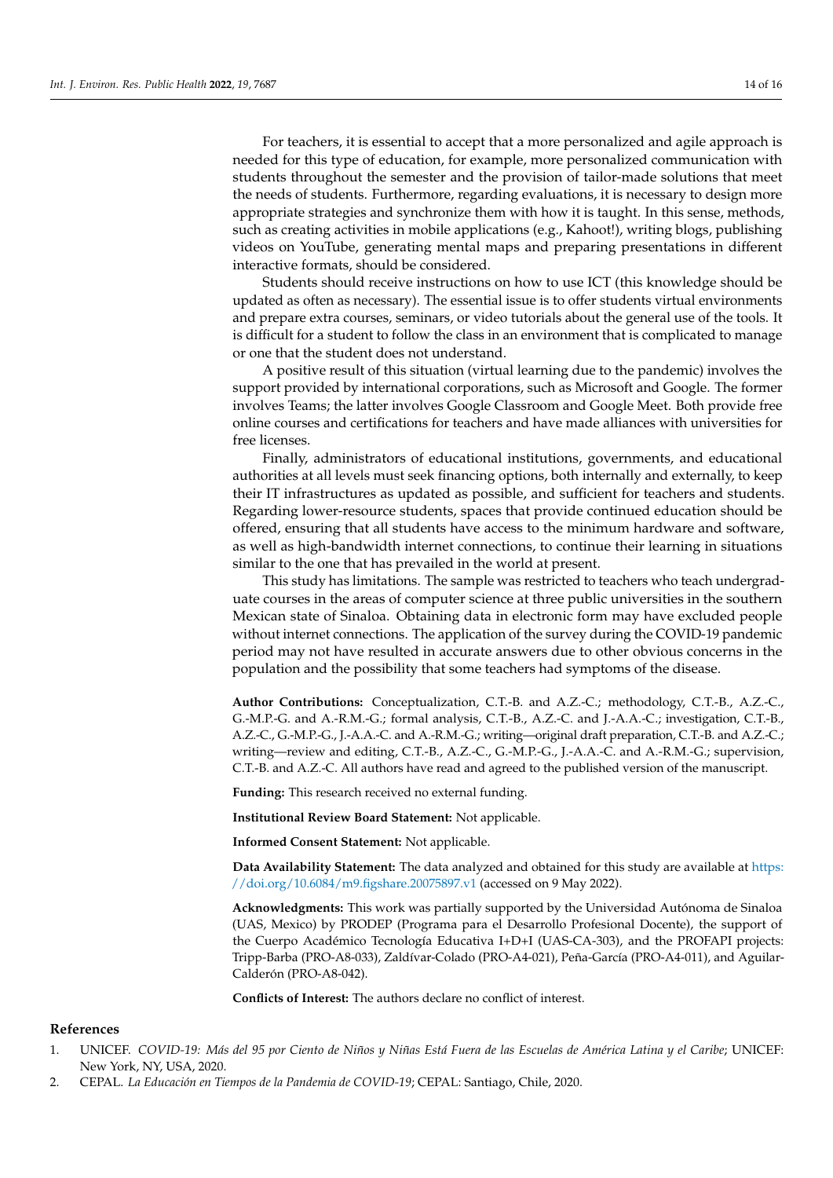For teachers, it is essential to accept that a more personalized and agile approach is needed for this type of education, for example, more personalized communication with students throughout the semester and the provision of tailor-made solutions that meet the needs of students. Furthermore, regarding evaluations, it is necessary to design more appropriate strategies and synchronize them with how it is taught. In this sense, methods, such as creating activities in mobile applications (e.g., Kahoot!), writing blogs, publishing videos on YouTube, generating mental maps and preparing presentations in different interactive formats, should be considered.

Students should receive instructions on how to use ICT (this knowledge should be updated as often as necessary). The essential issue is to offer students virtual environments and prepare extra courses, seminars, or video tutorials about the general use of the tools. It is difficult for a student to follow the class in an environment that is complicated to manage or one that the student does not understand.

A positive result of this situation (virtual learning due to the pandemic) involves the support provided by international corporations, such as Microsoft and Google. The former involves Teams; the latter involves Google Classroom and Google Meet. Both provide free online courses and certifications for teachers and have made alliances with universities for free licenses.

Finally, administrators of educational institutions, governments, and educational authorities at all levels must seek financing options, both internally and externally, to keep their IT infrastructures as updated as possible, and sufficient for teachers and students. Regarding lower-resource students, spaces that provide continued education should be offered, ensuring that all students have access to the minimum hardware and software, as well as high-bandwidth internet connections, to continue their learning in situations similar to the one that has prevailed in the world at present.

This study has limitations. The sample was restricted to teachers who teach undergraduate courses in the areas of computer science at three public universities in the southern Mexican state of Sinaloa. Obtaining data in electronic form may have excluded people without internet connections. The application of the survey during the COVID-19 pandemic period may not have resulted in accurate answers due to other obvious concerns in the population and the possibility that some teachers had symptoms of the disease.

**Author Contributions:** Conceptualization, C.T.-B. and A.Z.-C.; methodology, C.T.-B., A.Z.-C., G.-M.P.-G. and A.-R.M.-G.; formal analysis, C.T.-B., A.Z.-C. and J.-A.A.-C.; investigation, C.T.-B., A.Z.-C., G.-M.P.-G., J.-A.A.-C. and A.-R.M.-G.; writing—original draft preparation, C.T.-B. and A.Z.-C.; writing—review and editing, C.T.-B., A.Z.-C., G.-M.P.-G., J.-A.A.-C. and A.-R.M.-G.; supervision, C.T.-B. and A.Z.-C. All authors have read and agreed to the published version of the manuscript.

**Funding:** This research received no external funding.

**Institutional Review Board Statement:** Not applicable.

**Informed Consent Statement:** Not applicable.

**Data Availability Statement:** The data analyzed and obtained for this study are available at [https:](https://doi.org/10.6084/m9.figshare.20075897.v1) [//doi.org/10.6084/m9.figshare.20075897.v1](https://doi.org/10.6084/m9.figshare.20075897.v1) (accessed on 9 May 2022).

**Acknowledgments:** This work was partially supported by the Universidad Autónoma de Sinaloa (UAS, Mexico) by PRODEP (Programa para el Desarrollo Profesional Docente), the support of the Cuerpo Académico Tecnología Educativa I+D+I (UAS-CA-303), and the PROFAPI projects: Tripp-Barba (PRO-A8-033), Zaldívar-Colado (PRO-A4-021), Peña-García (PRO-A4-011), and Aguilar-Calderón (PRO-A8-042).

**Conflicts of Interest:** The authors declare no conflict of interest.

## **References**

- <span id="page-13-0"></span>1. UNICEF. *COVID-19: Más del 95 por Ciento de Niños y Niñas Está Fuera de las Escuelas de América Latina y el Caribe*; UNICEF: New York, NY, USA, 2020.
- <span id="page-13-1"></span>2. CEPAL. *La Educación en Tiempos de la Pandemia de COVID-19*; CEPAL: Santiago, Chile, 2020.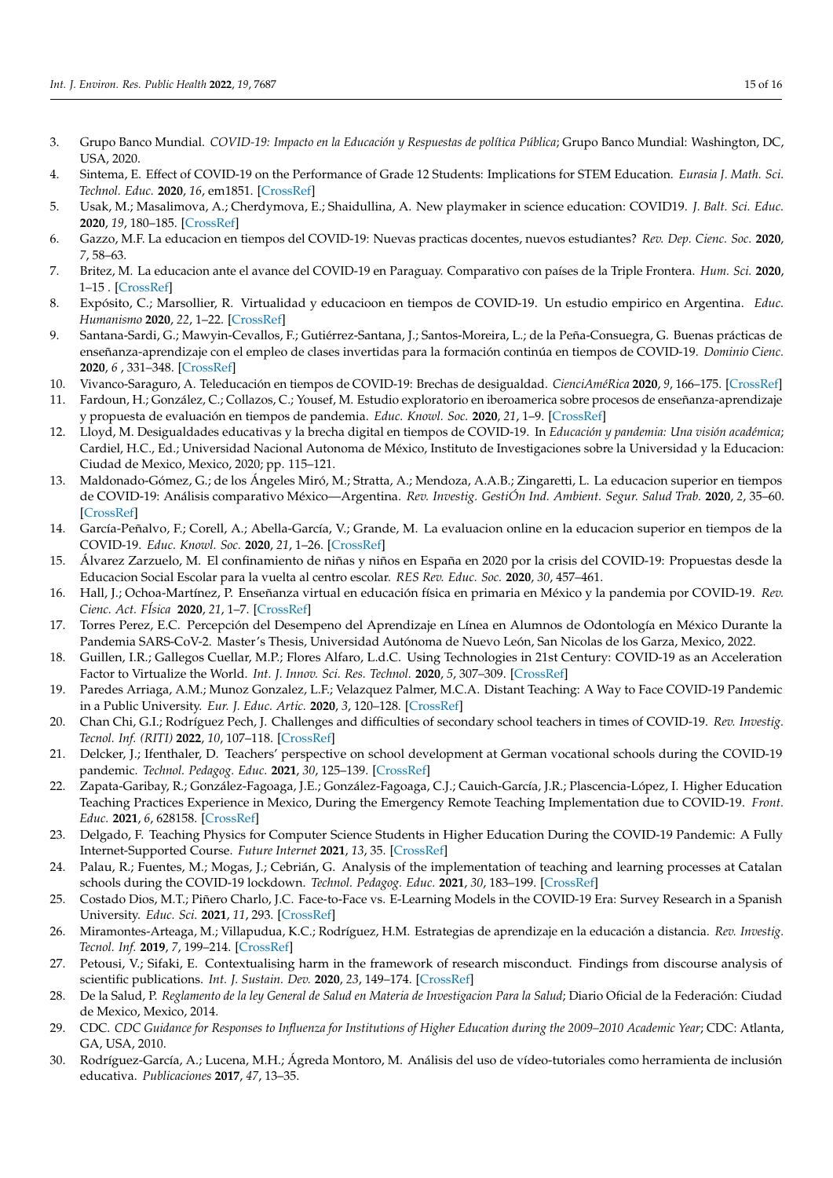- <span id="page-14-0"></span>3. Grupo Banco Mundial. *COVID-19: Impacto en la Educación y Respuestas de política Pública*; Grupo Banco Mundial: Washington, DC, USA, 2020.
- <span id="page-14-1"></span>4. Sintema, E. Effect of COVID-19 on the Performance of Grade 12 Students: Implications for STEM Education. *Eurasia J. Math. Sci. Technol. Educ.* **2020**, *16*, em1851. [\[CrossRef\]](http://doi.org/10.29333/ejmste/7893)
- <span id="page-14-2"></span>5. Usak, M.; Masalimova, A.; Cherdymova, E.; Shaidullina, A. New playmaker in science education: COVID19. *J. Balt. Sci. Educ.* **2020**, *19*, 180–185. [\[CrossRef\]](http://dx.doi.org/10.33225/jbse/20.19.180)
- <span id="page-14-3"></span>6. Gazzo, M.F. La educacion en tiempos del COVID-19: Nuevas practicas docentes, nuevos estudiantes? *Rev. Dep. Cienc. Soc.* **2020**, *7*, 58–63.
- <span id="page-14-4"></span>7. Britez, M. La educacion ante el avance del COVID-19 en Paraguay. Comparativo con países de la Triple Frontera. *Hum. Sci.* **2020**, 1–15 . [\[CrossRef\]](http://dx.doi.org/10.1590/SciELOPreprints.22)
- <span id="page-14-5"></span>8. Expósito, C.; Marsollier, R. Virtualidad y educacioon en tiempos de COVID-19. Un estudio empirico en Argentina. *Educ. Humanismo* **2020**, *22*, 1–22. [\[CrossRef\]](http://dx.doi.org/10.17081/eduhum.22.39.4214)
- <span id="page-14-6"></span>9. Santana-Sardi, G.; Mawyin-Cevallos, F.; Gutiérrez-Santana, J.; Santos-Moreira, L.; de la Peña-Consuegra, G. Buenas prácticas de enseñanza-aprendizaje con el empleo de clases invertidas para la formación continúa en tiempos de COVID-19. *Dominio Cienc.* **2020**, *6* , 331–348. [\[CrossRef\]](http://dx.doi.org/10.23857/dc.v6i3.1401)
- <span id="page-14-7"></span>10. Vivanco-Saraguro, A. Teleducación en tiempos de COVID-19: Brechas de desigualdad. *CienciAméRica* **2020**, *9*, 166–175. [\[CrossRef\]](http://dx.doi.org/10.33210/ca.v9i2.307)
- <span id="page-14-8"></span>11. Fardoun, H.; González, C.; Collazos, C.; Yousef, M. Estudio exploratorio en iberoamerica sobre procesos de enseñanza-aprendizaje y propuesta de evaluación en tiempos de pandemia. *Educ. Knowl. Soc.* **2020**, *21*, 1–9. [\[CrossRef\]](http://dx.doi.org/10.14201/eks.23537)
- <span id="page-14-9"></span>12. Lloyd, M. Desigualdades educativas y la brecha digital en tiempos de COVID-19. In *Educación y pandemia: Una visión académica*; Cardiel, H.C., Ed.; Universidad Nacional Autonoma de México, Instituto de Investigaciones sobre la Universidad y la Educacion: Ciudad de Mexico, Mexico, 2020; pp. 115–121.
- <span id="page-14-10"></span>13. Maldonado-Gómez, G.; de los Ángeles Miró, M.; Stratta, A.; Mendoza, A.A.B.; Zingaretti, L. La educacion superior en tiempos de COVID-19: Análisis comparativo México—Argentina. *Rev. Investig. GestiÓn Ind. Ambient. Segur. Salud Trab.* **2020**, *2*, 35–60. [\[CrossRef\]](http://dx.doi.org/10.34893/gisst.v2i2.79)
- <span id="page-14-11"></span>14. García-Peñalvo, F.; Corell, A.; Abella-García, V.; Grande, M. La evaluacion online en la educacion superior en tiempos de la COVID-19. *Educ. Knowl. Soc.* **2020**, *21*, 1–26. [\[CrossRef\]](http://dx.doi.org/10.14201/eks.23086)
- <span id="page-14-12"></span>15. Álvarez Zarzuelo, M. El confinamiento de niñas y niños en España en 2020 por la crisis del COVID-19: Propuestas desde la Educacion Social Escolar para la vuelta al centro escolar. *RES Rev. Educ. Soc.* **2020**, *30*, 457–461.
- <span id="page-14-13"></span>16. Hall, J.; Ochoa-Martínez, P. Enseñanza virtual en educación física en primaria en México y la pandemia por COVID-19. *Rev. Cienc. Act. FÍsica* **2020**, *21*, 1–7. [\[CrossRef\]](http://dx.doi.org/10.29035/rcaf.21.2.4)
- <span id="page-14-14"></span>17. Torres Perez, E.C. Percepción del Desempeno del Aprendizaje en Línea en Alumnos de Odontología en México Durante la Pandemia SARS-CoV-2. Master's Thesis, Universidad Autónoma de Nuevo León, San Nicolas de los Garza, Mexico, 2022.
- <span id="page-14-15"></span>18. Guillen, I.R.; Gallegos Cuellar, M.P.; Flores Alfaro, L.d.C. Using Technologies in 21st Century: COVID-19 as an Acceleration Factor to Virtualize the World. *Int. J. Innov. Sci. Res. Technol.* **2020**, *5*, 307–309. [\[CrossRef\]](http://dx.doi.org/10.38124/IJISRT20AUG254)
- <span id="page-14-16"></span>19. Paredes Arriaga, A.M.; Munoz Gonzalez, L.F.; Velazquez Palmer, M.C.A. Distant Teaching: A Way to Face COVID-19 Pandemic in a Public University. *Eur. J. Educ. Artic.* **2020**, *3*, 120–128. [\[CrossRef\]](http://dx.doi.org/10.26417/648fhz71e)
- <span id="page-14-17"></span>20. Chan Chi, G.I.; Rodríguez Pech, J. Challenges and difficulties of secondary school teachers in times of COVID-19. *Rev. Investig. Tecnol. Inf. (RITI)* **2022**, *10*, 107–118. [\[CrossRef\]](http://dx.doi.org/10.36825/RITI.10.20.009)
- <span id="page-14-18"></span>21. Delcker, J.; Ifenthaler, D. Teachers' perspective on school development at German vocational schools during the COVID-19 pandemic. *Technol. Pedagog. Educ.* **2021**, *30*, 125–139. [\[CrossRef\]](http://dx.doi.org/10.1080/1475939X.2020.1857826)
- <span id="page-14-19"></span>22. Zapata-Garibay, R.; González-Fagoaga, J.E.; González-Fagoaga, C.J.; Cauich-García, J.R.; Plascencia-López, I. Higher Education Teaching Practices Experience in Mexico, During the Emergency Remote Teaching Implementation due to COVID-19. *Front. Educ.* **2021**, *6*, 628158. [\[CrossRef\]](http://dx.doi.org/10.3389/feduc.2021.628158)
- <span id="page-14-20"></span>23. Delgado, F. Teaching Physics for Computer Science Students in Higher Education During the COVID-19 Pandemic: A Fully Internet-Supported Course. *Future Internet* **2021**, *13*, 35. [\[CrossRef\]](http://dx.doi.org/10.3390/fi13020035)
- <span id="page-14-21"></span>24. Palau, R.; Fuentes, M.; Mogas, J.; Cebrián, G. Analysis of the implementation of teaching and learning processes at Catalan schools during the COVID-19 lockdown. *Technol. Pedagog. Educ.* **2021**, *30*, 183–199. [\[CrossRef\]](http://dx.doi.org/10.1080/1475939X.2020.1863855)
- <span id="page-14-22"></span>25. Costado Dios, M.T.; Piñero Charlo, J.C. Face-to-Face vs. E-Learning Models in the COVID-19 Era: Survey Research in a Spanish University. *Educ. Sci.* **2021**, *11*, 293. [\[CrossRef\]](http://dx.doi.org/10.3390/educsci11060293)
- <span id="page-14-23"></span>26. Miramontes-Arteaga, M.; Villapudua, K.C.; Rodríguez, H.M. Estrategias de aprendizaje en la educación a distancia. *Rev. Investig. Tecnol. Inf.* **2019**, *7*, 199–214. [\[CrossRef\]](http://dx.doi.org/10.36825/RITI.07.14.017)
- <span id="page-14-24"></span>27. Petousi, V.; Sifaki, E. Contextualising harm in the framework of research misconduct. Findings from discourse analysis of scientific publications. *Int. J. Sustain. Dev.* **2020**, *23*, 149–174. [\[CrossRef\]](http://dx.doi.org/10.1504/IJSD.2020.115206)
- <span id="page-14-25"></span>28. De la Salud, P. *Reglamento de la ley General de Salud en Materia de Investigacion Para la Salud*; Diario Oficial de la Federación: Ciudad de Mexico, Mexico, 2014.
- <span id="page-14-26"></span>29. CDC. *CDC Guidance for Responses to Influenza for Institutions of Higher Education during the 2009–2010 Academic Year*; CDC: Atlanta, GA, USA, 2010.
- <span id="page-14-27"></span>30. Rodríguez-García, A.; Lucena, M.H.; Ágreda Montoro, M. Análisis del uso de vídeo-tutoriales como herramienta de inclusión educativa. *Publicaciones* **2017**, *47*, 13–35.